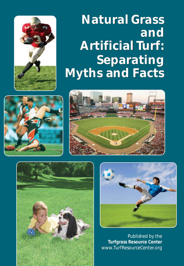

# *Natural Grass Natural Grass and Artificial Turf: Artificial Turf:Separating Myths and Facts*









*Published by the* **Turfgrass Resource Center** www.TurfResourceCenter.org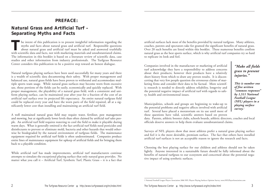## *PREFACE:*

## *Natural Grass and Artificial Turf – Separating Myths and Facts*

**The intent of this publication is to present insightful information regarding the myths and facts about natural grass and artificial turf. Responsible questions about natural grass and artificial turf must be asked and an** myths and facts about natural grass and artificial turf. Responsible questions about natural grass and artificial turf must be asked and answered truthfully with scientific data and facts, not with marketing materials and unsubstantiated claims. The information in this booklet is based on a literature review of scientific data, case studies and other information from industry professionals. The Turfgrass Resource Center considers this publication to be a positive step toward an honest dialogue.

Natural turfgrass playing surfaces have been used successfully for many years and there is a wealth of scientific data documenting their safety. With proper management and balanced use, natural grass fields have been proven to withstand and accommodate multiple sports team usage. While natural grass surfaces may become worn from excessive use, those portions of the fields can be easily, economically and quickly replaced. With proper management, the playability of a natural grass field, with a consistent and uniform playing surface, can be maintained year after year for a fraction of the cost of an artificial turf surface over its projected life expectancy. An entire natural turfgrass field could be replaced every year and have the worn parts of the field repaired, all at a significantly lower cost than installing and maintaining an artificial turf field.

A well maintained natural grass field may require water, fertilizer, pest management and mowing, but at significantly lower levels than often claimed by artificial turf sales people. An artificial turf field requires watering to cool the field to make it playable during warm days. What is generally omitted is the fact artificial turf fields need pesticides and disinfectants to prevent or eliminate mold, bacteria and other hazards that would otherwise be biodegraded by the natural environment of turfgrass fields. The maintenance equipment required for artificial turf fields is often underestimated. Companies produce entire lines of maintenance equipment for upkeep of artificial fields and for bringing them back to a playable condition.

While artificial turf has made improvements, artificial turf manufacturers continue attempts to simulate the exceptional playing surface that only natural grass provides. No matter what you call it – Artificial Turf, Synthetic Turf, Plastic Grass – it is a fact that

artificial surfaces lack most of the benefits provided by natural turfgrass. Many athletes, coaches, parents and spectators take for granted the significant benefits of natural grass. Over 20 such benefits are listed within this booklet. These numerous benefits confirm natural grass as the best sports surface, which is why artificial turf companies try so hard to replicate its look and feel.

Companies involved in the manufacture or marketing of artificial turf acknowledge they have a responsibility to address concerns about their products; however their products have a relatively short history from which to draw any proven results. It is disconcerting that very few people question the erroneous claims of marketing firms and consider their data to be factual. More scientific research is needed to directly address reliability, longevity and the potential negative impact of artificial turf with regards to safety, health and environmental issues.

Municipalities, schools and groups are beginning to wake-up to the potential problems and negative affects involved with artificial turf. Several have placed a moratorium on its use until more of these questions have valid, scientific answers based on proven

data. Parents, athletic booster clubs, schools boards, athletic directors, coaches and local officials deserve answers to help them evaluate unsubstantiated claims.

Surveys of NFL players show that most athletes prefer a natural grass playing surface and feel it is the more desirable, premium surface. The fact that others have installed artificial turf surfaces is not an acceptable reason to ignore the research and facts.

Choosing the best playing surface for our children and athletes should not be taken lightly. Anyone interested in a sustainable future should be fully informed about the benefits of natural turfgrass to our ecosystem and concerned about the potential negative impact of using synthetic surfaces.

*by 1,511 National Football League (NFL) players in a playing surface survey.*1

*"Make all fields grass to prevent*

*This is number one of five written "common responses"*

*injuries."*

<sup>1</sup> National Football League Players Association 2006 NFL Players Playing Surfaces Opinion Survey, www.NFLPlayerAssociation.com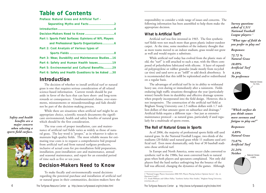## *Table of Contents*

| Preface: Natural Grass and Artificial Turf -           |
|--------------------------------------------------------|
|                                                        |
|                                                        |
|                                                        |
| Part I: Sports Field Surfaces: Opinions of NFL Players |
|                                                        |
| Part 2: Cost Analysis of Various types of              |
|                                                        |
| Part 3: Wear, Durability and Maintenance Studies16     |
| Part 4: Safety and Human Health Issues19               |
| Part 5: Environmental and Cultural Benefits29          |
| Part 6: Safety and Health Questions to be Asked 30     |

## *Introduction*

The decision of whether to install artificial turf or natural grass is one that requires serious consideration of all related science-based information. Current trends should be put aside in favor of the facts that can have short- and long-term rewards or consequences. Unsubstantiated claims, over-statements, misstatements or misunderstandings and fads should not be part of the decision-making process.

While there are situations when artificial turf might be an appropriate choice, scientific research documents the significant environmental, health and safety benefits of natural grass which should be the first consideration.

*benefits are a major concern when selecting a sports field surface.*

*Safety and health*



The true costs of proper installation, care and maintenance of artificial turf fields varies as widely as those of natural grass. The key word is "proper," as in whatever it takes to maintain high quality fields. The most reliable means for estimating true costs is to request a comprehensive bid proposal from artificial turf and from natural turfgrass producers, inclusive of actual costs for pre-installation field preparation, installation, post-installation care and maintenance, annual and seasonal maintenance, and repair for an extended period of time such as five or ten years.

## *Decision-Makers Need to Know*

To make fiscally and environmentally sound decisions regarding the potential purchase and installation of artificial turf or natural grass in their communities, decision-makers have the

responsibility to consider a wide range of issues and concerns. The following information has been assembled to help them make the appropriate decision.

#### *What Is Artificial Turf?*

Artificial turf was first invented in 1965. The first synthetic turf fields were not much more than green plastic indoor-outdoor carpet. At the time, some members of the industry thought that as more teams moved to an indoor stadium, grass would not grow as well and would require a substitute.

While artificial turf today has evolved from the plastic mats of old, the "turf" is still attached to such a mat, with the fibers composed of polyethylene lubricated with silicone. A layer of expanded polypropylene or rubber granules (made mostly from recycled car tires) and sand serve as an "infill" to add shock absorbency. It is recommended that this infill be replenished and/or redistributed on a regular basis.

The advantages of artificial turf lie in its ability to withstand heavy use, even during or immediately after a rainstorm. Fields enduring high traffic situations throughout the year (particularly winter) benefit from its durability and effective drainage systems when properly incorporated into the field design. However, this is not inexpensive. The construction of the artificial turf field at Brigham Young University cost 2.5 million dollars with 1.7 million dollars of that amount spent on subsurface and drainage.<sup>3</sup> Artificial fields require a different type – but just as extensive maintenance protocol – as natural grass, particularly if used regularly for a multitude of sports events.

### *The Roll of Natural Grass in Sports*

As of 2006, the majority of professional sports fields still used natural grass. In the National Football League, two-thirds of the stadiums (20 fields) used natural grass while 11 stadiums used artificial turf. Even more dramatically, only four of 30 baseball stadiums chose artificial turf.

In Europe and North America, some soccer clubs converted to synthetic turf in the 1980s, but soon converted back to natural grass when both players and spectators complained. Not only did players find the hard surface unforgiving but the bounce of the ball was affected, changing the dynamics of the games. Although

*Survey questions asked of 1,511 National Football League players:* <sup>2</sup>

*"What type of field do you prefer to play on?*

*Responses:*

*72.72 % Natural Grass*

*18.09% Artificial Turf*

*9.19% No preference*



*"Which surface do you think causes more soreness and fatigue to play on?"*

#### *Responses:*

*4.89% Natural Grass*

*73.87% Artificial Turf*

*21.24% Neither* Natural Grass



<sup>2 &</sup>quot;National League Players Association 2006 NFL Players Playing Surfaces Opinion Survey", *Op. cit.* Questions 8 and 2

<sup>3</sup> C. Frank Williams and Gilbert Pulley, "Synthetic Surface Heat Studies," Brigham Young University, www.byu.edu, p 2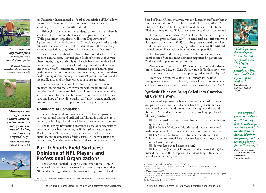

*Grass strength is important for a successful sand based sports field.* 

*Photo: A turfgrass stretching device used to measure grass strength*



*"Although many types of turf undergo university trials, there is a lack of information of the long term impact of artificial turf." Photo: Folsom High*

*School, Folsom, CA*



the Federation International de Football Association (FIFA) allows the use of synthetic turf,\* some international soccer teams absolutely refuse to play on artificial turf.

Although many types of turf undergo university trials, there is a lack of information on the long-term impact of artificial turf. While government organizations like the Department of Agriculture and the Environmental Protection Agency exist to educate users and oversee the effects of natural grass, there are no government restrictions or guidance in reference to artificial turf.

While modern artificial turf has evolved considerably, so has modern natural grass. Natural grass fields of yesterday that were often muddy, rough or simply unplayable have been replaced with modern turfgrass varieties developed for greater durability, even under heavy traffic conditions. Different types of natural grass fields are referred to throughout this document; the most modern fields have significant drainage, at least 90 percent uniform sand in the profile mix, and the best varieties of sports turfgrass.

Natural soil or native soil fields have soil compaction and drainage limitations that are overcome with the improved, soilmodified fields. Native soil fields should only be used when they are necessitated by financial limitations. For native soil fields to have any hope of providing quality turf under average traffic conditions, they must have proper pitch and adequate drainage.

#### *A Standard of Comparison*

In both theoretical and practical terms, a fair comparison between natural grass and artificial turf should include the most modern, technologically advanced fields available on both counts.

The following information examines six major considerations one should use when comparing artificial turf and natural grass: 1) safety issues; 2) cost analysis of various sports fields; 3) wear, durability and maintenance of field surfaces; 4) human safety and health issues; 5) environmental issues; and, 6) future research issues.

## *Part I: Sports Field Surfaces: Opinions of NFL Players and Professional Organizations*

The National Football League Players Association (NFLPA) announced the results of a league-wide player survey concerning NFL club's playing surfaces. The written survey, directed by the

\* FIFA's marketing department promotes artificial turf fields, recieving significant contractor fees for FIFAapproved turf fields

Board of Player Representatives, was conducted by staff members at team meetings during September through November, 2006. A total of 1,511 active NFL players from all 32 teams voluntarily filled out survey forms. This survey is conducted every two years.<sup>4</sup>

The survey revealed that 72.72% of the players prefer to play on a natural grass surface: 18.09% selected artificial turf; but, when playing on artificial turf, 90.85% of the players wanted the softer "infill" which causes a safer playing surface – making the artificial turf field more like a well maintained natural grass field.

The last part of the survey asked for additional comments. Number one of the five most common responses by players was "Make all fields grass to prevent injuries."

After one of the earlier NFLPA surveys related to field surfaces, former Executive Director Gene Upshaw stated: "In this survey, we have heard from the true experts on playing surfaces – the players."6

More details from the 2006 NFLPA survey are included throughout this report. In addition, there is information on safety and health issues related to artificial turf and natural grass in Part 4.

#### *Synthetic Fields are Being Called Into Question All Over the World*

In spite of aggressive lobbying from synthetic turf marketing groups, safety and health problems related to synthetic surfaces have caused concerns and moratoriums throughout the world. Dr. Guive Mirfendereski, editor at www.synturf.org, published the following articles: \*

The Scottish Premier League banned synthetic pitches for competition matches.

The Italian Minister of Health found that synthetic turf fields are potentially carcinogenic (cancer producing substance).

The Center for Disease Control and the Mount Sinai Children's Environmental Health Center issued warnings about the hazards of artificial turf.

Norway has banned synthetic turf.

The UEFA (Union of European Football Associations) has ordered that the 2008 European Champions League final must take place on natural grass.



*"Thank goodness the turf [grass] tore instead of my spinal cord! My playing career, and possibly my life, was saved by the softness of the surface."* <sup>5</sup>

*Jason Dunstall Australian Football League*

*"This artificial grass was a disaster. It hurt my feet. I really hope we don't get this in the Amsterdam Arena. If this is the future, I'd better stop playing football [soccer]"\*\**

*Rafael van der Vaart Soccer player for Ajax Amsterdam The Netherlands*

<sup>4 &</sup>quot;The NFL Players Playing Surfaces Opinion Survey," *Op. cit.*

<sup>5</sup> Wendell Mathews, Ph.D., "Editorial Comment: A Photo Worth a Thousand Words," Turf News, November/December, 1999, p. 11

<sup>6</sup> Wendell Mathews, *Ibid*

*<sup>\*</sup>* Guive Mirfendereski is an attorney in private practice. He manages the website www.SynTurf.org , a public interest clearinghouse for information related to artificial turf fields.

<sup>\*\*</sup> From "Why choose natural turf? A discussion on natural versus artificial turf for sport and leisure applications," by the European Seed Association, 2006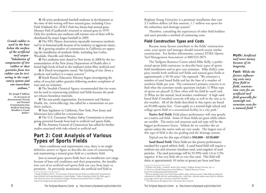*Crumb rubber is used in the base below the surface of the artificial turf carpet– "Inhalation of components of tire rubber or dust particles from tire rubber can be irritating to the respiratory system and can exacerbate asthma."*

> **Dr. Joseph P. Sullivan** *An Assessment of Environmental Toxicity and Potential Contamination from Artificial Turf using Shredded or Crumb Rubber***\***

All seven professional baseball stadiums in development at the time of this writing will have natural grass, including Cisco Field (Oakland A's). AT&T Park has always had natural grass. Monster Park (Candlestick) returned to natural grass in 1979. Only five synthetic pro stadiums still remain; two of these will be abandoned by major league baseball in 2009.

**The NFL Players Association repeatedly renounces synthetic** turf in its biannual polls because of its tendency to aggravate injury. A growing number of communities in California are opposing the installation of synthetic fields, including San Carlos, Woodside, Danville and Atherton.

Two stadiums were closed in New Jersey in 2008 by the recommendation of the New Jersey Department of Health after it found high levels of lead in the stadium's nylon-fiber artificial turf.

A Dutch investigation stated: "the leaching of zinc [from a synthetic turf surface] is a major concern."

South Korea's Education Ministry began investigating the safety of recycled rubber granules following student complaints of nose and eye irritation.

The Swedish Chemical Agency recommended that tire waste not be used in constructing synthetic turf fields because the product releases hazardous materials.

The non-profit organization, Environment and Human Health, Inc. (www.ehhi.org), has called for a moratorium on synthetic surfaces.

State legislators in California, New York, New Jersey and Minnesota have called for a moratorium.

The U.S. Consumer Product Safety Commission is investigating potential hazards from lead in artificial turf sports fields.

The Attorney General of Connecticut has called for further studies associated with risks related to artificial turf.

## *Part 2: Cost Analysis of Various Types of Sports Fields*

Since conditions and requirements vary, there is no single definitive answer or figure to describe the costs of constructing and maintaining a natural grass field or a synthetic field.

Just as natural grass sports fields have an installation cost range because of base soil conditions and their preparation, the installation cost of an artificial turf sports field can vary from basic to premium. As previously mentioned, the artificial turf field at

Brigham Young University is a premium installation that cost 2.5 million dollars (of that amount, 1.7 million was spent for the subsurface and drainage system)<sup>7</sup>

Therefore, consulting the experiences of other field builders and users provides a method of estimating costs.

### *Field Construction Types and Costs*

Because many factors contribute to the fields' construction costs, your sports turf manager should research recent similar construction. For further information, contact STMA (Sports Turf Management Association) at 800/323-3875.

*Myth: Artificial turf saves money because of its longevity.*

*Fact: While the factors influencing costs vary from field to field, construction costs for an artificial turf field generally far outweigh construction costs for a natural field.\*\**

The Turfgrass Resource Center asked Mike Kelly, a professional sports field contractor, to describe basic types of sports field installations and to give cost estimates. Mike Kelly's company installs both artificial turf fields and natural grass fields at approximately a 50-50 ratio.8 He reported: "We construct a number of sand based fields and lay the base of a number of synthetic fields per year. The contractor's primary concern is to find what the customer needs: questions include: 1) What type of sports are played? 2) How often will the field be used? and, 3) What are the annual, local weather conditions? A high sand based field if installed correctly will play as well in the rain as in dry weather. All of the fields described in this report are based on 85,000 square feet. Costs apply to a normal high school and college sports field or a recreational facility in a city park."

**Native Soil Field:** Field player performance will vary greatly on a native soil field. Some of these fields are great while others are terrible. The native soil structure and soil type will be the biggest performance factor. Seldom do we consider this an option unless the native soils are very sandy. The largest cost of this type of field is the site grading and the drainage system.

Typical cost for this type of field is **\$50,000 – \$150,000**\*

**Sand Based Field:** These fields are the proven performance standard for a good athletic field. A sand based field will require a uniform size and structure (medium sand, semi-angular) of sand particles. The sand percentage will be 95-99% with 1.0 to 2.5% organics. It has very little silt or very fine sand. This field will drain at approximately 10 inches or greater per hour and have

<sup>\*</sup> Joseph P. Sullivan, Ph.D., "An Assessment of Environmental Toxicity and Potential Contamination from Artificial Turf using Shredded or Crumb Rubber," Ardea Consulting, March 28, 2006, page 2. This literature review was initiated by Turfgrass Producers International and is available at http://www.turfgrasssod.org/trc/index.html

<sup>7</sup> Williams and Pulley, "Synthetic Surface Heat Studies," Brigham Young University, *Op. cit.* 8 "The Cost of Field Construction in the Midwest," Turfgrass Resource Center,

http://www.turfgrasssod.org/trc/index.html

<sup>\*</sup> All costs quoted in Part 2 are United States dollars unless otherwise stated. Mike Kelly provided this information in 2008 with the understanding that—with time—decision makers must factor in inflation percentages and the price increases of materials and labor.

<sup>\*\*</sup> The information throughout Part 2 documents this statement.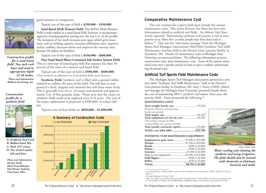

*Construction profile for a sand based field. Two inch rock layer and sand to appropriate depth Photo and information: Rehbein Exc avating, Inc.*

#### *Construction profile for a synthetic field.*



*A: Artificial Turf Level B: Rubber/Sand Mix C: Rock (#57 stone) D: Pea Gravel and/or old sand base*

*Photo and information: Darian Daily, Head Groundskeeper, Paul Brown Stadium, Cincinnati, Ohio*

good resistance to compaction.

Typical cost of this type of field is **\$250,000 – \$350,000**.

**Sand Based Mesh Element Field:** This ReFlex Mesh Element Field is built similar to a sand based field, however it incorporates segments of polypropylene netting into the top 4 in. of the profile. The inclusion of the mesh increases pore space which gives more water and air holding capacity, increases infiltration rates, improves surface stability, decreases divots and improves the recovery time because the plants are healthier.

Typical cost of this type of field is **\$450,000 – \$600,000**

**Pure Sand Based Water-Contained Sub-Surface System Field:** This is a new type of natural grass field that requires less than 50 percent of the water of a normal sand based field.

Typical cost of this type of field is **\$500,000 – \$600,000**. (There would be an additional cost if you include Reflex mesh elements.) *12-18 inches.*

> **Synthetic Field:** Synthetic turf is filled with a ground rubber material to cushion the users of the field. The sub-base is composed of a hard, chipped rock material that will drain water freely. This is generally 6 in.-10 in. of course rock material and approximately 2 in. of fine granular chips. Please note that the carpet on synthetic fields needs to be replaced every 8-10 years. The cost of the carpet replacement is projected at \$500,000+ in today's dollars.

Typical costs of these fields are **\$850,000 – \$1,000,000**.



#### *Comparative Maintenance Cost*

The cost estimate for a sports field must include the annual maintenance costs. This seems obvious, but there has been misinformation related to artificial turf fields. An *Athletic Turf News* article reported: "Maintaining synthetic turf systems is not as inexpensive or as 'labor free' as some people may have been lead to believe."9 That was the "take-home message" from the Michigan Sports Turf Managers Association's (MiSTMA) Synthetic Turf Infill Maintenance Seminar held at the Detroit Lions' practice facility in Dearborn, MI. Details of maintenance costs at Michigan State University are presented below. The following information presents construction costs, plus maintenance costs. Some of the reports amortized costs over a specific period of time to give a realistic understanding of annual costs.

#### *Artificial Turf Sports Field Maintenance Costs*

The Michigan Sports Turf Managers Association sponsored a seminar titled "Synthetic Turf Infill Maintenance" held at the Detroit's Lion practice facility in Dearborn, MI. Amy J. Fouty, CSFM, athletic turf manager for Michigan State University, presented details about the cost of maintaining MSU's synthetic turf indoor three-year-old practice field. Fouty presented the following:<sup>10</sup>

#### **MAINTENANCE COSTS**

| (Field only; 280 hours at \$18 per hour;       |  |  |
|------------------------------------------------|--|--|
| benefits not included)                         |  |  |
|                                                |  |  |
|                                                |  |  |
|                                                |  |  |
| (This includes a sweeper (\$1,500);            |  |  |
| a broom $(\$500)$ ; and, a groomer $(\$1,500)$ |  |  |
| Total outside contractor repairs  \$ 8,000     |  |  |
|                                                |  |  |
| SYNTHETIC TURF MAINTENANCE EQUIPMENT           |  |  |

| <b>Equipment to spray water</b> \$1,000 to \$35,000 |  |
|-----------------------------------------------------|--|
|                                                     |  |
|                                                     |  |
|                                                     |  |
|                                                     |  |
| Cart (to tow equipment)\$2,500 to \$16,000          |  |
|                                                     |  |
|                                                     |  |
|                                                     |  |



Photo: Darian Daily

*Water cooling and cleaning the synthetic turf using irrigation. The field should also be treated with chemicals to eliminate bacteria and mold.*

\*Note: the supply cost summary does not include the application of crumb rubber one time a year using 10 tons as "top dressing" at \$500 per ton (\$5,000 dollars). Adding this figure, the summary total would be \$27,760.

<sup>9</sup> Lynne Brakeman, "Experts spell out the true cost of synthetic turf maintenance," *Athletic Turf News*, May 24, 2005, p.1

<sup>10</sup> Lynne Brakeman, *Ibid*, pp 3 and 4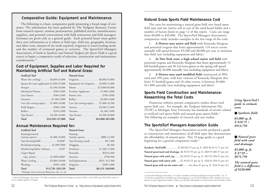## *Comparative Guide: Equipment and Maintenance Natural Grass Sports Field Maintenance Cost*

The following is a basic comparative guide presenting a broad range of estimates. The information has been gathered by The Turfgrass Resource Center from research reports, seminar presentations, published articles, manufacturers, suppliers, and personal conversations with field contractors and field managers. Estimates are given only as a general guide. Each potential buyer must gather their own information as it relates to field type, field size, geographic location, area labor costs, amount of site work required, irrigation or water/cooling needs, and the number of estimated games or activities. The SportsTurf Managers Association's *A Guide to Synthetic and Natural Turfgrass for Sports Fields* is a good source to begin a comparative study of selection, construction and maintenance considerations.<sup>11</sup>

### *Cost of Equipment, Supplies and Labor Required for Maintaining Artificial Turf and Natural Grass:*

#### **Artificial Turf Natural Grass**

| $$23,250-127,000$<br>Total                         | \$42,800-205,500<br>Total                 |
|----------------------------------------------------|-------------------------------------------|
| Top Dresser  \$4,500-10,000                        | Top Dresser \$4,500-20,000                |
| Rollers \$250-2,000                                | Vacuum \$2,100-5,000                      |
| Field Magnet \$500-1,000                           | Aerator \$3,500-17,000                    |
| Cart (for towing equip.) . \$7,000-16,000          | Cart (for towing equip.) \$7,000-18,500   |
|                                                    | Rollers \$2,000-4,000                     |
| Line Painter \$500-3,000                           | Painter, line \$700-3,000                 |
| Mechanical Broom \$500-3,000                       | Fertilizer Applicator \$1,000-3,000       |
| Sweeper  \$1,500-20,000                            | Mower \$13,000-69,000                     |
| Sprayer for water application \$1,000-35,000       | Equipment for irrigation . \$3,000-31,000 |
| Water (for cooling) $\ldots \ldots$ \$6,000-35,000 | Irrigation \$6,000-35,000                 |

#### *Annual Maintenance Required for:*

| <b>Artificial Turf</b>                            |                     | <b>Natural Grass</b>                                 |                  |
|---------------------------------------------------|---------------------|------------------------------------------------------|------------------|
| Painting/removal                                  |                     | Painting                                             |                  |
| (various sports) \$1,000-10,000                   |                     | $\frac{1}{2}$ (various sports)  \$800-12,300         |                  |
| Top Dressing/Infill\$5,000*                       |                     | Top Dressing (sand) $\ldots \ldots \ldots$ \$0-5,400 |                  |
| Brushing/sweeping $$1,000-5000$                   |                     |                                                      |                  |
| Disinfecting/Fabric Softener \$220*               |                     | Fertilizers \$1,200-11,000                           |                  |
| Carpet Repair                                     |                     | Pesticides \$650-6,300                               |                  |
| (rips, joints) \$1,000-8,000*                     |                     | Aeration \$700-960                                   |                  |
| Water Cooling  \$5,000-10,000                     |                     | Sod Replacement \$833- \$12,500                      |                  |
| Weeding \$500-1,000                               |                     | Irrigation\$300-3,000                                |                  |
| Total                                             | $$13,720 - $39,220$ | Total                                                | \$8,133-\$48,960 |
| *Michigan State University/Brakeman, Op. cit., p4 |                     |                                                      |                  |

11 SportsTurf Managers Association, "A Guide to Synthetic and Natural Turfgrass for Sports Fields," www.STMA.org (Click PDF version to access complete guide of 19 pages)

The costs for maintaining a natural grass field vary based upon field type and size (native soil or one of the sand-based fields) and a number of factors listed on page 12 of this report. Costs can range from \$8,000 to \$49,000. The SportsTurf Managers Association's comparative study includes examples in the low range of the scale:

1. **A Denver-area native soil field** with Kentucky bluegrass and perennial ryegrass that hosts approximately 110 soccer events annually will spend between \$5,500 and \$8,000 per year to maintain that field (not including equipment and labor).

2. **In New York state, a high school native soil field** with perennial ryegrass and Kentucky bluegrass that hosts approximately 15 fall football games and 30 LaCrosse games in the spring will spend approximately \$4,000 annually (not including equipment and labor).

3. **A Denver-area sand modified field** constructed of 90% sand and 10% peat, with four varieties of Kentucky bluegrass that hosts 35 football games and 10 other events, is between \$9,000- \$11,000 annually (not including equipment and labor).

#### *Sports Field Construction and Maintenance– Researching the Total Costs*

Numerous websites present comparative studies about total sports field cost. For example, the Turfgrass Information File, (TGIF) at Michigan State University has hundreds of articles related to artificial turf sports fields and natural grass sports fields.\* The following are examples of research and case studies.

### *The SportsTurf Managers Association Guide*

The SportsTurf Managers Association recently produced a guide to construction and maintenance of all field types that demonstrates the affordability of natural grass. This 19-page guide is a good beginning for a general comparative study.<sup>12</sup>

| <b>Synthetic Turf/infill \$7.80-\$10.75</b> per sq. ft. (\$83.96-\$115.71 per m <sup>2</sup>   |
|------------------------------------------------------------------------------------------------|
| Natural grass/sand and drainage .\$6.50-\$7.95 per sq. ft. (\$69.97-\$85.57 per m <sup>2</sup> |
| Natural grass with sand cap\$3.50-\$5.25 per sq. ft. (\$37.67-\$56.51 per m <sup>2</sup>       |
| Natural grass with native soils  \$2.50-\$5.25 per sq. ft. (\$26.91-\$56.51 per m <sup>2</sup> |
| Natural grass with on-site native soil less than \$1 per sq. ft. (\$10.76 per m <sup>2</sup>   |

<sup>12</sup> SportsTurf Managers Association, "A Guide to Synthetic and Natural Turfgrass for Sports Fields," *Op. cit* \*For further reading about turf field issues and management, use the TGIF database online. Members can access directly via their organization website. Others can subscribe individually; see http://tic.msu.edu for further details.

*Using SportsTurf's guide to estimate costs:*

■ *Synthetic field:* 

*85,000 sq. ft. X \$10.75 = \$913,750* 

■ *Natural grass field with sand and drainage:*

*85,000 sq. ft. X \$7.95 = \$675,750*

)

)

)

)

)

*The natural grass field is a difference of \$238,000*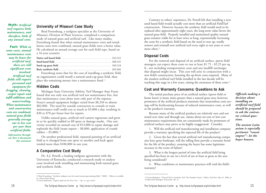*Myth: Artificial turf requires little maintenance, and therefore, little if any annual costs.*

*Fact: While in some cases, annual maintenance costs may be lower for artificial turf, there are still significant costs involved. Artificial turf fields still require personnel and equipment for dragging, cleaning, carpet repair and infill additions and water/cooling. When maintenance and construction costs are combined, natural grass fields generally average out to less cost per year than artificial fields. Information through-*

*out Part 2 documents this statement* 

#### *University of Missouri Case Study*

Brad Fresenburg, a turfgrass specialist at the University of Missouri, Division of Plant Sciences, completed a comparison study of natural grass and artificial turf. Like many studies,

Fresenburg found that when annual maintenance costs and installation costs were combined, natural grass fields were a better value. He calculated an annual average cost for each field type, based on a 16-year scenario:

| Fresenburg notes that for the cost of installing a synthetic field, |  |
|---------------------------------------------------------------------|--|

an organization could install a natural sand-cap grass field, then place the remaining money into a maintenance fund.<sup>13</sup>

#### *Hidden Costs*

Michigan State University Athletic Turf Manager Amy Fouty found that not only was artificial turf not maintenance free, but that maintenance costs alone were only part of the expense. Fouty's annual equipment budget varied from \$8,250 to almost \$82,000. The need for outside contractors to consult or train maintenance staff could cost as much as \$3,000 a day, resulting in \$30 to \$70 per linear foot for repairs.

Unlike natural grass, artificial turf cannot regenerate and grow in or be quickly sodded to fill spots or damage marks. One university recorded an annual cost of \$13,000 to repair damage and replenish the field (seam repairs – \$8,000, application of crumb rubber – \$5,000).<sup>14</sup>

On another professional field, repeated painting of an artificial field as it changed from one sport to another and back again totaled more than \$100,000 in one year.

#### *A Comparative Cost Study*

Dr. A.J. Powell, a leading turfgrass agronomist with the University of Kentucky, conducted a research study to analyze costs involved with installing and maintaining both natural grass and synthetic fields.

14 Lynne Brakeman, "Experts Spell out the True Cost..." *Op. cit.*, pp 3 and 4

Contrary to others' experience, Dr. Powell felt that installing a new sand based field would actually cost more than an artificial FieldTurf construction. However, because the synthetic field would need to be replaced after approximately eight years, the long-term value favors the natural grass field. Properly installed and maintained quality natural grass remains viable for at least twice as long, exponentially increasing the costs for a synthetic field based on the need to tear up, totally remove and reinstall new artificial turf every eight to ten years or even more often.<sup>15</sup>

#### *Disposal Costs*

For the removal and disposal of an artificial surface, sports field managers can expect these costs to run at least \$1.75 - \$2.25 per sq. ft., not including transportation costs and any landfill surcharges that disposal might incur. This cost will arise in conjunction with a new field's construction, boosting the up-front costs required. Many of the modern artificial turf fields installed in the last decade will be reaching this stage in a few years, raising the awareness of these costs.16

#### *Cost and Warranty Concerns: Questions to Ask*

The initial purchase price of an artificial surface (sports field or home lawn) is many times greater than a natural grass area; however, promoters of the artificial products maintain that tremendous costs savings will be forthcoming because of reduced maintenance costs, as well as the product's warranty.

Because many of the artificial products are relatively new and not tested over time and through use, claims about no-cost or low-cost maintenance requirements that are consistently made by promoters of artificial surfaces may prove to be highly exaggerated. Consider:

1. Will the artificial turf manufacturing and installation company provide a warranty specifying the expected life of the product?

2. Given the fact that several artificial turf manufacturing companies have gone bankrupt, will the selling firm provide a warranty bond for the life of the product, ensuring the buyer has some legitimate recourse in the event of failure?

3. What is the longest period of time the artificial field being specified has been in use (at a level of use at least as great as the area being considered)?

4. What conditions or maintenance practices will void the field's warranty?

*Officials making a decision about installing an artificial turf field should be prepared to ask the contractor critical questions.*

*The ancient Latin axiom is especially pertinent: "caveat emptor"– let the buyer beware.*

<sup>13</sup> Brad Fresenburg, "Synthetic turfgrass costs far exceed natural grass playing fields." (2005), Tables are available in a Power Point format.

<sup>15</sup> Lynne Brakeman, "Natural Turf or Synthetic Turf: The Numbers Game", *Athletic Turf News*, May 21, 2005, p1 16 SportsTurf Managers Association, *Op. cit*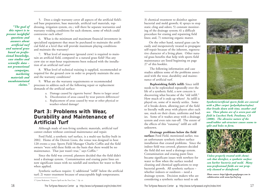*"The goal of this report is to present insightful questions and answers about artificial turf and natural grass based on professional knowledge, case studies and scientific data – not promotional campaigns, marketing materials and unsubstantiated claims."*

5. Does a single warranty cover all aspects of the artificial field's soil base preparation, base materials, artificial turf materials, topdressing, irrigation system, etc.; will there be separate warranties and warranty voiding conditions for each element, some of which could contravene each other?

6. What is the minimum and maximum financial investment in specialized equipment that must be purchased to maintain the artificial field at a level that will provide maximum playing conditions and maintain the warranty?

7. What level of manpower (ground crew) is required to maintain an artificial field, compared to a natural grass field? Has any crew size or man-hour requirements been reduced with the installation of an artificial turf area?

8. What level of technical training is supplied, recommended or required for the ground crew in order to properly maintain the area and the warranty conditions?

9. What are the warranty requirements or recommended processes to address each of the following repair or replacement demands of the artificial surface:

- a. Damage caused by cigarette burns? Burns to larger areas?
- b. Discoloration of areas caused by wear pattern differences?
- c. Replacement of areas caused by wear or other physical or weather-related damage?

## *Part 3: Problems with Wear, Durability and Maintenance of Artificial Turf*

Although made of non-living synthetic materials, artificial turf cannot endure without continual maintenance and repair.

Ford Field, a synthetic turf surface, is a multi-use facility built in 2002. Home of the Detroit Lions, the venue was designed to host 120 events a year. Sports Field Manager Charlie Coffin and the field owners "were sold these fields on the basis that there would be no maintenance. That just wasn't true," says Coffin.<sup>17</sup>

Since the field was covered, planners decided that the field didn't need a drainage system. Contamination and erasing paint lines are now significant issues with no rainfall and nowhere for water to flow when applied.

Synthetic surfaces require: 1) additional "infill" below the artificial turf; 2) water treatment because of unacceptable high temperatures;

3) chemical treatment to disinfect against bacterial and mold growth; 4) sprays to stop static cling and odors; 5) constant monitoring of the drainage system; 6) a difficult procedure for erasing and repainting field lines; and, 7) removing organic matter.

On the other hand, natural grass can be easily and inexpensively treated to propagate self-repair because of the inherent, regenerative character of a living plant. Other natural grass benefits that help with sports field maintenance are listed beginning on page 27 of this booklet.

The following information and case studies address some of the problems associated with the wear, durability and maintenance of artificial turf.

**Replenishing field's infill:** Since infill needs to be replenished repeatedly over the life of a synthetic field, a new concern is discovering what became of the "old infill." How much of it ends up where? As infill is played on, some of it merely settles. Some of it breaks down, allowing part of the field to literally walk away with players after each use, stuck on their cleats, uniforms and bodies. Some of it washes away with a drainage system and even rain run-off. The extent of the effects of this "runaway" infill are still unknown.

**Drainage problems below the field surface:** Ford Field, mentioned earlier, was an unfortunate synthetic indoor surface installation that created problems. Since the indoor field was covered, planners decided the field did not need a drainage system. Contamination and erasing paint lines became significant issues with nowhere for water to flow when the surface needed cleaning and chemical applications to stop bacterial growth. All synthetic surfaces – whether indoors or outdoors – need a drainage system. Decision makers who are considering a synthetic surface need to ask





*Synthetic/artificial sports fields are covered with a fiber carpet (polyethylene/nylon) that breaks down with time, weather and use. These photos are of a seven-year-old field in Lucchesi Park, Petaluma, CA (2008). The abrasive nature of the sand/rubber sub-structure causes seams to split and holes to form.*



*Unless properly treated with chemicals that disinfect, a synthetic surface can harbor bacteria and mold. Many non-professional fields are not properly cleaned or disinfected.* 

*Photo source: http://sfparks.googlepages.com in collaboration with www.SynTurf.org*

<sup>17</sup> Lynne Brakeman, "Experts Spell out the True Cost..." *Op. cit.*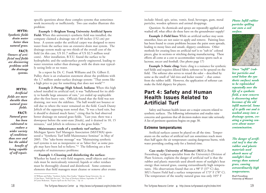specific questions about these complex systems that sometimes work incorrectly or inefficiently. Two case studies illustrate this problem:

*MYTH: Synthetic fields drain water better than natural grass. FACT: Owners of artificial turf fields are discovering problems with the drainage systems.*

*Artificial fields are more durable than natural grass fields. FACT: Natural grass has been cultivated to endure a wider variety of conditions than ever and has the added benefit of being capable*

*MYTH:*

**Example 1–Brigham Young University Artificial Sports Field:** When this university's synthetic field was installed, the company claimed a drainage rate of 60 inches (152 cm) per hour. A system under the artificial carpet was designed to move water from the surface into an extensive drain mat system. The drainage system made up two thirds of the overall cost of the field (in this case, US \$1.7 million of US \$2.5 million total costs). After installation, B.Y.U. found the surface to be hydrophobic and the undersurface poorly engineered, leading to water retention rather than drainage, with the drain mat typically seeing little or no water.

In a report by Dr. C. Frank Williams and Dr. Gilbert E. Pulley, there is an evaluation statement about the problems with the 1.7 million under-surface drainage system: "That seems like a high price to pay for something that does not work!"18

**Example 2–Portage High School, Indiana:** When this high school installed its artificial turf, it was "ballyhooed for its ability to handle large amounts of rain," yet ended up unplayable after the first heavy rain. Officials found that the field was not draining, nor were the sidelines. The ball would not bounce or roll due to where the water remained on the field. Coach Danny Jeftich of the opposing team noted that, "It was a hard rain, but it should've drained much faster," citing that he had observed better drainage on natural grass fields. "Last year, there was a downpour before the semi-state [finals], and it drained in 10, 15 minutes," said Jeftich in reference to the grass fields.<sup>19</sup>

**Maintenance needs of a synthetic turf surface:** The Michigan Sports Turf Managers Association (MiSTMA) sponsored a "Synthetic Turf Infill Maintenance Seminar" in May of 2005. The "take-home message" was "Maintaining synthetic turf systems is not as inexpensive or as 'labor free' as some people may have been led to believe."20 The following are a few examples of maintenance problems:

**Example 1–Cleaning and disinfecting the surface:** Whether by hand or with field magnets, small objects and materials must be meticulously removed; liquids or other residues must be thoroughly cleaned and disinfected. Some common elements that field managers must cleanse or remove after events include: blood, spit, urine, vomit, food, beverages, gum, metal particles, wooden splinters and animal droppings.

Question: As chemicals and sprays are repeatedly applied and washed off, what effect do these have on the groundwater supply?

**Example 2–Field lines:** While an artificial surface may seem smoother, lines are not easier to apply and remove. Painting lines has been found to create problems because the paint soon spreads, leading to messy lines and unsafe, slippery conditions. Other methods for creating lines on artificial turf is to "tuft-in" colored pieces, glue in sections or stitching during manufacturing. These efforts all come at a cost to accommodate various sports such as lacrosse, soccer and football. (See photo page 17)

**Example 3–Static cling:** Static cling is a nuisance for synthetic turf fields and requires diluted fabric softener to be sprayed on the field. The softener also serves to retard the odor – described by some as the smell of "old tires and locker rooms" – that comes from the rubber infill. However, the application of softener can make the field slippery for players.

## *Part 4: Safety and Human Health Issues Related to Artificial Turf*

Safety and human health issues are a major concern related to synthetic surfaces. The following information and studies raise concerns and questions that all decision-makers must take seriously. A list of pertinent questions begins on page 30.

#### *Extreme temperatures*

Artificial surfaces cannot be played on all the time. Temperatures on the surface of artificial turf can sometimes reach more than half again the air temperature causing dangerous burns, with water providing cooling only for a limited time.

**Case study: University of Missouri (M.U.):** Brad Fresenburg, turfgrass specialist from the University's Division of Plant Sciences, explains the danger of artificial turf is that the rubber and plastic materials used absorb more of sunlight's heat energy than natural grass, causing extraordinarily high temperatures. His observations found that on a 98° F (37° C) day, MU's Faurot Field had a surface temperature of 173° F (78° C). The temperature of the nearby natural grass was only 105° F

*Photo: Infill rubber particles spilling out onto a soil surface.*



*Since "infill" (rubber particles and sand below the synthetic surface) needs to be replenished repeatedly over the life of a synthetic field, a new concern is discovering what becomes of the old infill material. Some of it spills out and is washed away into a drainage system, creating a growing concern about water contamination.*

*The danger of artificial turf is that the rubber and plastic materials used absorb more of sunlight's heat energy than natural grass, causing extraordinarily high temperatures.*

*Brad Fresenburg University of Missouri*

<sup>18</sup> Williams and Pulley, "Synthetic Surface Heat Studies," Brigham Young University, *Op. cit.* 19 Jim Peters, "Field fails first test," *The Times of Northwest Indiana*, September 29, 2005 20 Lynne Brakeman, "Experts Spell out the True Cost..." *Op. cit.*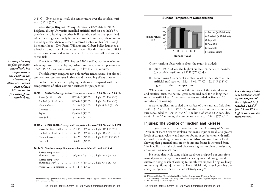(41° C). Even at head-level, the temperature over the artificial turf was 138° F (59° C).<sup>21</sup>

**Case study: Brigham Young University (B.Y.U.):** In 2002, Brigham Young University installed artificial turf on one half of its practice field, leaving the other half a sand-based natural grass field. After observing exceedingly hot temperatures from the synthetic turf – including a case where one coach received blisters on his feet through his tennis shoes – Drs. Frank Williams and Gilbert Pulley launched a scientific comparison of the two turf types. For this study, the artificial turf area was examined as two separate fields: the football field and the soccer field.

*An artificial turf surface generates exceedingly hot temperatures– one coach at the University of Missouri received heat-related blisters on his feet through his tennis shoes.*

The Safety Office at BYU has set 120° F (49° C) as the maximum safe temperature that a playing surface can reach, since temperatures of 122° F (50° C) can cause skin injury in less than 10 minutes.

The field study compared not only surface temperatures, but also soil temperatures, temperatures in shade, and the cooling effects of water.

Surface temperatures of playing fields were compared with the temperatures of other common surfaces for perspective:

| Table 1 Surface–Average Surface Temperature between 7:00 AM and 7:00 PM |  |  |
|-------------------------------------------------------------------------|--|--|
| Soccer (artificial turf) 117.38° F (47° C)high 157° F (69° C)           |  |  |

| Football (artificial turf)  117.04° F (47° C)high 156° F (69° C)      |  |  |  |
|-----------------------------------------------------------------------|--|--|--|
| Natural Grass 78.19º F (26° C)high 88.5º F (31° C)                    |  |  |  |
| Concrete $\ldots \ldots \ldots \ldots \ldots \ldots$ 94.08° F (34° C) |  |  |  |
| Asphalt 109.62° F (43° C)                                             |  |  |  |
| Bare Soil 98.23° F (37° C)                                            |  |  |  |

**Table 2 2 inch depth–Average Soil Temperature between 7:00 AM and 7:00 PM**

|                            | Soccer (artificial turf)  95.33° F (35° C) high 116° F (47° C)      |  |
|----------------------------|---------------------------------------------------------------------|--|
|                            | Football (artificial turf)  96.48° F (36° C) high 116.75° F (47° C) |  |
|                            |                                                                     |  |
| Bare Soil 90.08° F (32° C) |                                                                     |  |

#### **Table 3 Shade–Average Temperature between 9:00 AM and 2:00 PM**

Surface Temperature of Natural Grass . . . . . . . . . . . . 66.35º F (19° C) .......high 75º F (24° C) Surface Temperature of Artificial Turf . . . . . . . . . . . . 75.89º F (24° C) .......high 99º F (37° C) Average Air Temperature . . . . . . 81.42º F (27° C)



Other startling observations from the study included:

- 200° F (93° C) was the highest surface temperature recorded (on artificial turf) on a 98° F (37° C) day.
- Even during Utah's cool October weather, the surface of the artificial turf reached 112.4° F (44.7° C) – 32.4° F (18° C) higher than the air temperature

When water was used to cool the surfaces of the natural grass and artificial turf, the natural grass remained cool for so long that only the artificial turf's temperature was recorded at five and 20 minutes after wetting.

*Even during Utah's cool October weather, the surface of the artificial turf reached 112.4 F (44.7 C)—32.4 F higher than the air temperature.*

A water application cooled the surface of the synthetic field from 174º F (79° C) to 85º F (29° C) but after five minutes the temperature rebounded to 120º F (49° C) (the limit of what BYU considers safe). After 20 minutes, the temperature rose to  $164^{\circ}$  F (73° C).<sup>22</sup>

#### *Injuries: The Science of Traction and Release*

Turfgrass specialist Brad Fresenburg of the University of Missouri Division of Plant Sciences explains that many injuries are due to greater levels of torque, velocity and traction found in conjunction with artificial turf. Fresenburg performed tests on Missouri's own Faurot Field showing that potential pressure on joints and bones is increased from, "the inability of a fully planted cleat-wearing foot to divot or twist out, an action that releases force.'

He noted that while some might see divots or ripped-out grass from natural grass as damage, it is actually a healthy sign indicating that the surface is doing its job of yielding to the athletes' impact, being less likely to cause significant injury. And unlike artificial turf, natural grass has the ability to regenerate or be repaired relatively easily.<sup>23</sup>

<sup>21</sup> Brad Fresenburg, "Synthetic Turf Playing Fields, Present Unique Dangers," *Applied Turfgrass Science*, November 3, 2005. University of Missouri

<sup>22</sup> Williams and Pulley, "Synthetic Surface Heat Studies," Brigham Young University, *Op. cit.*<br>23 Brad Fresenburg, "Synthetic Turf Playing Fields, Present Unique Dangers," *Applied Turfgrass Science*, November 3, 2005. University of Missouri, *Op. cit.*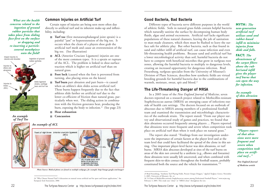*What are the health concerns related to the ingestion of ground rubber particles that takes place from sliding face-first on the surface or dropping and re-inserting a particlecovered mouthpiece onto the field?*



*An example of Turf Toe*

### *Common Injuries on Artificial Turf*

Certain types of injuries are being seen more often due directly to artificial turf and its inherent make-up and inflexibility, including:

- **Turf toe** (first metatarsophalangeal joint sprain) is a painful "jam" or hyperextension of the big toe. It occurs when the cleats of a players shoe grab the artificial turf mesh and cause an overextension of the big toe. (See illustration)
- **ACL** (Anterior Cruciate Ligament) injuries are one of the more common types. It is a sprain or rupture of the ACL. The problem is linked to shoe-surface traction which is higher on artificial turf than on natural grass.
- **Foot lock** (caused when the foot is prevented from turning, also placing stress on the knees)
- **Turf burn** part abrasion and part burn—is caused when an athlete's skin slides across artificial turf. These burns happen frequently due to the fact that athletes slide farther on artificial turf due to the lower co-efficient of friction than natural grass, particularly when wet. The sliding action in combination with the friction generates heat, producing the burn, exposing the body to infection.<sup>24</sup> (See page 23)
- **Heat exhaustion**
- **Concussion**

#### *An example of ACL*



*Photo Source: Medical photos are found on multiple webpages, for example: http://images.google.com/images?*

24 "Why Choose Natural Turf? A discussion on natural versus artificial turf for sport and leisure applications," the European Seed Association, 2006

#### *Good Bacteria, Bad Bacteria*

Different types of bacteria serve different purposes in the world of athletic fields. Soils in natural grass fields contain helpful bacteria which naturally sanitize the surface by decomposing human body fluids, algae and animal excrements. Artificial turf lacks significant populations of these natural cleansers, leaving the job of sanitation to man-made cleansers, which then must be flushed to leave the surface safe for athletic play. But other bacteria, such as that found in sand and rubber infill of artificial turf, can cause infection and even life-threatening health problems. Because sand and artificial turf has a lower microbiological activity than soil, harmful bacteria do not have to compete with beneficial microbes that grow in turfgrass root zones, allowing the harmful bacteria to multiply to dangerous levels, creating an increased opportunity for dangerous infection. Brad Fresenburg, turfgrass specialist from the University of Missouri's Division of Plant Sciences, describes how synthetic fields are virtual breeding grounds for harmful bacteria due to the combinations of warmth, moisture, sweat, spit and blood.<sup>25</sup>

### *The Life-Threatening Danger of MRSA*

In a 2005 issue of the *New England Journal of Medicine*, seven doctors reported on a research project related to Methicillin-resistant Staphylococcus aureus (MRSA) an emerging cause of infections outside of health care settings. The doctors focused on an outbreak of abscesses due to MRSA among members of a professional football team and examined the transmission and microbiologic characteristics of the outbreak strain. The report stated: "From our player survey and observational study of games and practices, we found that skin abrasions occurred frequently among players ... Players reported that abrasions were more frequent and severe when competition took place on artificial turf than when it took place on natural grass."

The report also stated: "Findings from our investigation underscore the importance of certain factors at the player level and at the team level that could have facilitated the spread of the clone in this setting. One important player-level factor was skin abrasions, or turf burns. MRSA skin abscesses developed at sites of the turf burns on areas of the skin not covered by a uniform (e.g., elbows and forearms) these abrasions were usually left uncovered, and when combined with frequent skin-to-skin contact throughout the football season, probably constituted both the source and the vehicle for transmission."<sup>26</sup>

*MYTH: The new-generation artificial turf utilizes sand and rubber-based infill to minimize injuries from skids and falls.*

*FACT: The abrasiveness of the carpet fibers above the rubber/sand infill gives the player turf burns that can open the way for infection.*

#### *An example of skin abrasion*



*"Players reported that abrasions were more frequent and severe when competition took place on artificial turf..."*

*New England Journal of Medicine article*

*<sup>25</sup>* Brad Fresenburg, "Synthetic Turf Playing Fields, Present Unique Dangers," *Applied Turfgrass Science*, November 3, 2005. University of Missouri, *Op. cit.*

<sup>26 &</sup>quot;A Clone of Methicillin-resistant Staphylococcus aureus among Professional Football Players," www.nejm.org, February 3, 2005. This study uses "clone" or "MRSA clone" throughout the text.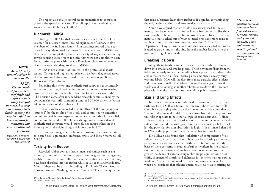The report also makes several recommendations to control or prevent the spread of MRSA. The full report can be obtained at www.nejm.org (February 3, 2005).

#### *Diagnosis: MRSA*

During the 2003 football season, researchers from the CDC (Center for Disease Control) found eight cases of MRSA in five members of the St. Louis Rams. Skin scrapings proved that a turf burn from synthetic turf had provided the entry point. MRSA was then passed amongst the players in a variety of ways, such as sharing towels or using locker room facilities that were not completely disinfected. After a game with the San Francisco 49ers, some members of that team were also diagnosed with MRSA.<sup>27</sup>

#### *MYTH: An artificially created surface is more sterile.*

*FACT: The materials used for synthetic turf fields and infill not only carry harmful bacteria, but trap unsanitary body fluids, opening the way for infection; chemicals used for sanitation can create additional problems. Information through-*

*out Part 4 documents this statement*

the country, including confirmed cases in Connecticut, Texas, Illinois and Pennsylvania. Following this news, one synthetic turf supplier has voluntarily started to offer free, life-time decontamination services to existing customers based on the levels of bacteria found in its sand infill.

MRSA is not a condition limited to the professional sports teams. College and high school players have been diagnosed across

The decision came after independent research commissioned by the company showed infill containing sand had 50,000 times the bacterial count as that of all-rubber infill.

*Athletic Turf News* reported that an officer of the company was "stunned" by the results of the study and committed to sanitation techniques which were expected to be needed monthly for each field containing the sand infill. He was also quoted as saying that the synthetic turf company would "strongly encourage others in the industry to do the right thing and follow our lead."28

Because bacteria genes can become resistant, care must be taken to clean fields, equipment, uniforms, towels and locker rooms to kill MRSA.

#### *Toxicity from Rubber*

Recycled rubber contains heavy metal substances such as aluminum, cadmium, chromium, copper, iron, magnesium, manganese, molybdenum, selenium, sulfur and zinc, in addition to lead that may have been absorbed into the rubber while in use as an automobile tire. Many of these can be toxic. According to Dr. Linda Chalker-Scott, a horticulturist with Washington State University, "There is no question

that toxic substances leach from rubber as it degrades, contaminating the soil, landscape plants and associated aquatic systems."29

Some have argued that when old tires are exposed to the elements, they become less harmful; evidence from other studies shows this thought to be incorrect. In one study, it was observed that the materials that leached out of washed, used tires were more toxic to rainbow trout than that from washed new tires.<sup>30</sup> The U.S. Department of Agriculture also found that when recycled tire rubber is used as garden mulch, the zinc from the rubber leaches into the soil, impairing plant growth.<sup>31</sup>

#### *Breaking It Down*

As synthetic fields degrade with use, the materials used break down into smaller and smaller pieces. These tiny microfibers from the field can be easily inhaled, especially when a player falls and/or slides across the synthetic surface. Many paints and metals already carry warning labels. How will the dust from these particles effect athletes and maintenance staff? One Massachusetts doctor suggests that the world could be looking at another asbestos curse down the line, complete with lawsuits that could ruin schools or public systems.<sup>32</sup>

#### *Skin and Lung Effects*

In his scientific review of published literature related to artificial turf, Dr. Joseph Sullivan found that the tire rubber used for infill could have damaging effects on the human body. He noted that "the most detrimental health effect resulting from direct exposure to tire rubber appears to be either allergic or toxic dermatitis." Since athletes playing on artificial turf not only come into contact with the rubber but often do so with great force (such as during a fall or tackle), the potential for skin absorption is high. It is estimated that 6% to 12% of the population is allergic to rubber in some form.

Dr. Sullivan also found that "inhalation of components of tire rubber or actual particles of tire rubber can be irritating to the respiratory system and can exacerbate asthma." Dr. Sullivan cites the basis of these concerns in studies of rubber workers in tire production, noting that these workers have been documented to suffer greater incidence of chronic cough, chronic phlegm, chronic bronchitis, shortness of breath, and tightness in the chest than unexposed workers. Again, the potential for such damaging effects is clear when one considers that athletes spend hours every week stirring up

*question that toxic substances leach from rubber as it degrades, contaminating the soil, landscape plants and associated aquatic systems."*

*"There is no* 

*Dr. Linda Chalker-Scott Washington State University*

<sup>27</sup> Phil Taylor, "A Menace in the Locker Room." SI.com, February 23, 2005 28 *Athletic Turf News*, March 20, 2008

<sup>29</sup> Dr. Guive Mirfendereski, "Take a Pass at Fake Grass", www.SynTurf.org, March 29,2006 30 Joseph P. Sullivan, *Op. cit.*

<sup>31</sup> Lindsey Hodel, "Gardners: Tread Lightly–Green Gazette–Rubber Mulch," *Mother Earth News,* April-May 2003 32 Dr. Guive Mirfendereski, *Op. cit.*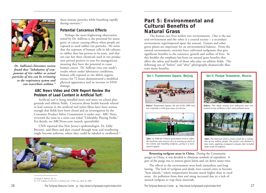

*Dr. Sullivan's literature review found that "inhalation of components of tire rubber or actual particles of tire can be irritating to the respiratory system and can exacerbate asthma."*

these minute particles while breathing rapidly during exertion.<sup>33</sup>

#### *Potential Cancerous Effects*

Perhaps the most frightening observation noted by Dr. Sullivan is the potential for mutagenic or cancer causing effects when people are exposed to used rubber tire particles. He notes that the exposure of human cells in lab cultures to rubber dust has proven to be toxic, and that not one but three chemicals used in tire production proved positive in tests for mutagenicity, meaning they have the potential to cause human cancer. Dr. Sullivan cites one study's results where under laboratory conditions, human cells exposed to tire debris organic extract for 72 hours demonstrated a modified physical appearance and an increase in DNA damage.

#### *ABC News Video and CNN Report Review the Problem of Lead Content in Artificial Turf:*

Artificial turf is being installed more and more on school playgrounds and athletic fields. Concerns about health hazards related to lead content in the artificial turf nylon fibers have been serious enough that fields have been closed and an investigation by the Consumer Product Safety Commission is under way. ABC News reviewed the issue in a news cast titled "Unhealthy Playing Fields." For details, see ABCNews.com (search: sportsfields)

CNN reported that New Jersey's epidemiologist, Dr. Eddy Bresnitz, said fibers and dust created through wear and weathering might become airborne, where they could be inhaled or swallowed.<sup>34</sup>



33 Joseph P. Sullivan, *Op. cit.* 34 "U.S. looking at lead levels in artificial turf," CNN.com, April 26, 2008

## *Part 5: Environmental and Cultural Benefits of Natural Grass*

The human race lives within two environments. One is the natural environment and the other is a created society – a secondary environment superimposed upon the natural. Grasses and other green plants are important for an environmental balance. From the natural environment, societies have cultivated turfgrasses that give significant benefits to the existence, growth and welfare of lives. In this booklet the emphasis has been on natural grass benefits that affect the safety and health of those who play on athletic fields. The following sets of "before" and "after" photographs dramatically illustrate many benefits.





*Before: Tiannenmen Square, the site of the 1989 riots, was originally a solid gray mass of concrete.*



*After: In 1998 the Chinese government tried to soften the hard-line anti-western view by tearing up much of the cement and installing turfgrass, giving it a more natural appeal.*

*Before: This bleak seventy acre industrial area was located in one of Mexico City's most polluted areas.*



*After: The land was used to create a park for a community of one million people. The project was finished in four years, applying ecological concepts that included large areas of turfgrass.*

**Returning turfgrass areas in China.** During the Communist purges in China, it was decided to eliminate symbols of capitalism. A part of the purge was to remove green lawns and cut down many trees.

The effects to the environment were both immediate and long lasting. The lack of turfgrass and shade trees caused cities to become "heat islands," where temperatures became much higher than in rural areas. Air pollution from dust and smog increased due to a lack of natural turfgrass to trap these materials.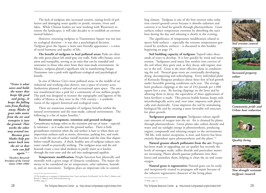35 The benefits are a summary of information from "Lawn and Sports Turf Benefits" by Dr. Eliot C. Roberts and Beverly C. Roberts, www.TheLawnInstitute.org 36 Ibid., page 12 37 Ibid., page 14

**Temperature modification:** People function best physically and mentally with a given range of climactic conditions. The major elements to be considered are air temperature, solar radiation, humidity, and air movement. Turfgrass plays an important role in control-

*"Grass is what saves and holds the water that keeps life good and going...It keeps the falling rain from flushing away. Blades of grass take water from the air and transpire it into the ground. That works the other way around too. Because grass blades help put water back into the air so that rain can fall again."* <sup>36</sup>

*Theodore Roosevelt President of the United States (1901-1909)*

The lack of turfgrass also increased erosion, raising levels of pollution and damaging water quality in ponds, streams, rivers and lakes. While Chinese leaders are now working with Westerners to restore the landscapes, it will take decades to re-establish an environmental balance.

However, returning turfgrass to Tiannenmen Square was not just an ecological decision – it was also a psychological decision. Turfgrass gives the Square a more user-friendly appearance – a sense of social harmony and quality of life.

**The benefit of turfgrass to heal polluted areas:** Parks are often the only green places left amid gray city walls. Parks offer beauty, recreation and tranquility, serving as an oasis that can be remedial and restorative to those who enter from their man-made environment. In Mexico, turfgrass played a significant role in transforming Parque Tezozomoc into a park with significant ecological and psychological benefit.

In one of Mexico City's most polluted areas, in the middle of an industrial and working-class district, was a space of seventy acres. Authorities planned a cultural and recreational open space. The area was transformed into a park for a community of one million people. The park was designed to recreate the topography and lagoons of the valley of Mexico as they were in the 15th century – a symbolic

There are numerous examples of turfgrass benefits within the natural environment and the man-made, cultural environment. The

**Rainwater entrapment, retention and ground recharge:** Groundwater recharge refers to the retention and use of water – especially rainwater – as it soaks into the ground surface. There is little groundwater retention when the soil surface is bare or when there are impervious surfaces such as streets, driveways, parking lots, and roofs. As a result the rate of surface runoff increases and the time that elapses before runoff decreases. A thick, healthy area of turfgrass reduces rainwater runoff to practically nothing. The turfgrass areas and the soil beneath create a near ideal medium to purify water as it leaches through the root zone and the soil into underground aquifers.

vision of the region's historical and ecological roots.

following is a list of major benefits.<sup>35</sup>

ling climate. Turfgrass is one of the best exterior solar radiation control ground covers because it absorbs radiation and converts it to food for growth through photosynthesis. Grass surfaces reduce temperature extremes by absorbing the sun's heat during the day and releasing it slowly in the evening.

The significance of temperature modification related to sports field surfaces – especially the extreme temperatures generated by synthetic surfaces – is discussed in this booklet beginning on page 19.

**Soil building capacity of turfgrass:** Topsoil takes thousands of years to develop. It is lost quickly by wind and water erosion. Turfgrasses send many fine rootlets into crevices of the soil where they grow and, as they decay, add organic matter to the soil. Grass is the most effective plant in conditioning the soil. Natural grass roots are continually developing, dying, decomposing and redeveloping. Every individual plant of Kentucky bluegrass produces about three feet of leaf growth under favorable growing conditions each year. The average lawn produces clippings at the rate of 233 pounds per 1,000 square feet a year. By leaving clippings on the lawn and by allowing them to decay, the equivalent of three applications of lawn fertilizer is made. This process builds humus, keeps soils microbiologically active and, over time, improves soils physically and chemically. Grass improves the soil by stimulating biological life and by creating a more favorable soil structure for plant growth.

**Turfgrasses generate oxygen:** Turfgrasses release significant amounts of oxygen into the air. Air is cleansed by plants through photosynthesis. Green plants take carbon dioxide and water and use sunlight energy in photosynthesis, producing organic compounds and releasing oxygen to the environment. "All life, with minor exceptions, is now, and forever has been, entirely dependent upon photosynthesis and the plant."37

**Natural grasses absorb pollutants from the air:** Progress has been made in upgrading our air quality but recently the levels of nitrogen oxide, sulfur dioxide and particulate matter are increasing. Plants absorb gaseous pollutants into their leaves and assimilate them, helping to clean the air and create oxygen.

**Natural grass is regenerative:** Natural grass can be easily and inexpensively treated to propagate self-repair because of the inherent regenerative character of the living plant.



*Soil erosion control*



*Increased property values*



*Community pride and Urban heat reduction*



*Quality living*



*New drought resistant turfgrass research*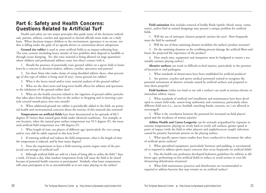## *Part 6: Safety and Health Concerns: Questions Related to Artificial Turf*

Health and safety are two major principles that guide many of the decisions individuals, parents, athletes, coaches and appointed or elected officials must make on a daily basis. When decisions impact children or the environment, ignorance is no excuse, neither is falling under the guile of an agenda-driven or commission-driven salesperson.

**Ground tire rubber** is used in some artificial fields as an impact-softening base. The toxic content (including heavy metals) of tires prohibits their disposal in landfills or through ocean dumping. Yet, this toxic material is being allowed (in large quantities) where children and professional athletes come into direct contact with it.

1. Should the presence of potentially toxic ground rubber on a sports field or home lawn be a concern to decision-makers, athletes, coaches, spectators and parents?

2. For those firms who make claims of using shredded athletic shoes, what percentage of this type of rubber is being used (if any), versus ground tire rubber?

3. What is the heavy-metal and/or toxic material analysis of the ground rubber?

4. What are the short-term and long-term health effects for athletes and spectators to the inhalation of the ground rubber dust?

5. What are the health concerns related to the ingestion of ground rubber particles that takes place from sliding face-first on the surface or dropping and re-inserting a particle-covered mouth-piece into ones mouth?

6. When additional ground tire rubber is periodically added to the field, are potential health and environmental concerns about the toxicity of this material also renewed?

**Temperatures on artificial fields** have been documented to be upwards of 86.5 degrees (F) hotter than natural grass fields under identical conditions. For example, at one location, when the natural grass surface temperature was 93.5 degrees (F), the measured artificial field temperature was 180 degrees (F).

1. What length of time can players of different ages (particularly the very young and/or very old) be safely exposed to this heat level?

2. If watering artificial turf reduces the field temperature, what is the length of time the temperature is reduced, and by how many degrees?

3. Does the requirement to have a field-watering system negate some of the projected cost-savings of artificial turf?

4. Although artificial fields are sold on a basis of being able to utilize the field 7 days a week, 24 hours a day, what outdoor temperature levels will cause the field to be closed because of potential health concerns to participants? Similarly, what lesser temperatures will cause participants to be so uncomfortable as to not enjoy playing on the surface?

**Field sanitation** that includes removal of bodily fluids (spittle, blood, sweat, vomit, urine), and/or bird or animal droppings may present a unique problem for artificial fields.

1. Will the use of antiseptic cleaners properly sanitize the area? How frequently must the field be sanitized?

2. Will the use of these sanitizing cleaners invalidate the surface's product warranty?

3. Do the sanitizing cleansers or the scrubbing process damage the artificial fibers and lessen the projected life expectancy of the product?

4. How much time, equipment and manpower must be budgeted to ensure a reasonably sanitary playing surface?

**Abrasive surfaces** can result in difficult-to-heal injuries, particularly in the presence of bacterial or viral pathogens.

1. What standards of abrasiveness have been established for artificial products?

2. Are parents, coaches and sports medical personnel trained to recognize the potential seriousness of abrasive wounds caused by artificial surfaces and prepared to treat them properly?

**Field hardness** (either too hard or too soft a surface) can result in serious chronic or immediate athletic injury.

1. What standards of artificial turf installation and maintenance have been developed to ensure field-wide, season-long uniformity and consistency, particularly when different field uses (i.e., soccer, football, marching bands, concerts, etc.) are allowed or encouraged?

2. What is the correlation between the potential for increased on-field players' speed and the incidence of serious injuries?

**Athlete Health and Career-Longevity** can be seriously jeopardized by exposure to extreme temperatures; playing on overly hard or overly soft surfaces, greater speed at point of impact (with the field or other players) and staphylococcus (staph) infections caused by parasitic bacterium present on the playing surface.

1. What specific sports injury studies have been conducted to document the safety of artificial sports surfaces?

2. What specialized equipment, particularly footwear and padding, is recommended or required to address sports injury concerns that occur frequently on artificial fields?

3. Has the health-care profession developed hydration guidelines for athletes at different ages, performing on hot artificial fields to reduce or avoid serious or even life threatening dehydration situations?

4. What field maintenance practices and disinfectants are recommended or required to address bacteria that may remain on an artificial surface?